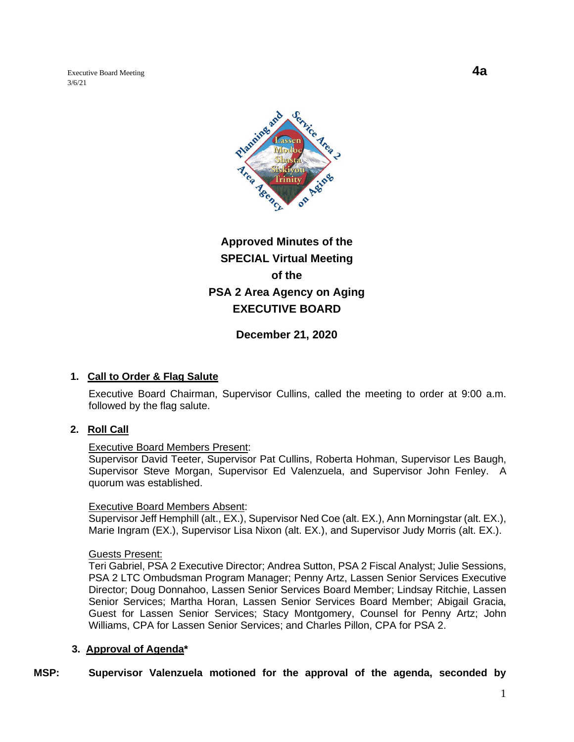Executive Board Meeting **4a** 3/6/21



# **Approved Minutes of the SPECIAL Virtual Meeting of the PSA 2 Area Agency on Aging EXECUTIVE BOARD**

**December 21, 2020**

## **1. Call to Order & Flag Salute**

Executive Board Chairman, Supervisor Cullins, called the meeting to order at 9:00 a.m. followed by the flag salute.

## **2. Roll Call**

#### Executive Board Members Present:

Supervisor David Teeter, Supervisor Pat Cullins, Roberta Hohman, Supervisor Les Baugh, Supervisor Steve Morgan, Supervisor Ed Valenzuela, and Supervisor John Fenley. A quorum was established.

#### Executive Board Members Absent:

Supervisor Jeff Hemphill (alt., EX.), Supervisor Ned Coe (alt. EX.), Ann Morningstar (alt. EX.), Marie Ingram (EX.), Supervisor Lisa Nixon (alt. EX.), and Supervisor Judy Morris (alt. EX.).

#### Guests Present:

Teri Gabriel, PSA 2 Executive Director; Andrea Sutton, PSA 2 Fiscal Analyst; Julie Sessions, PSA 2 LTC Ombudsman Program Manager; Penny Artz, Lassen Senior Services Executive Director; Doug Donnahoo, Lassen Senior Services Board Member; Lindsay Ritchie, Lassen Senior Services; Martha Horan, Lassen Senior Services Board Member; Abigail Gracia, Guest for Lassen Senior Services; Stacy Montgomery, Counsel for Penny Artz; John Williams, CPA for Lassen Senior Services; and Charles Pillon, CPA for PSA 2.

## **3. Approval of Agenda\***

# **MSP: Supervisor Valenzuela motioned for the approval of the agenda, seconded by**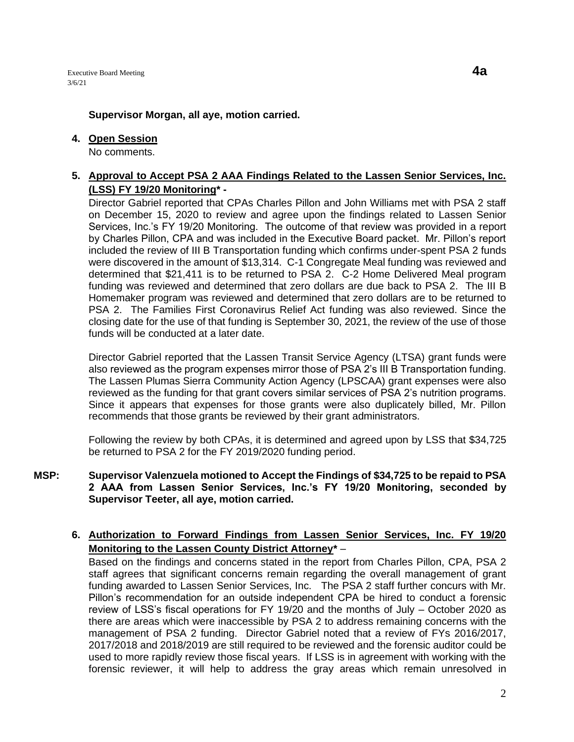### **4. Open Session**

No comments.

# **5. Approval to Accept PSA 2 AAA Findings Related to the Lassen Senior Services, Inc. (LSS) FY 19/20 Monitoring\* -**

Director Gabriel reported that CPAs Charles Pillon and John Williams met with PSA 2 staff on December 15, 2020 to review and agree upon the findings related to Lassen Senior Services, Inc.'s FY 19/20 Monitoring. The outcome of that review was provided in a report by Charles Pillon, CPA and was included in the Executive Board packet. Mr. Pillon's report included the review of III B Transportation funding which confirms under-spent PSA 2 funds were discovered in the amount of \$13,314. C-1 Congregate Meal funding was reviewed and determined that \$21,411 is to be returned to PSA 2. C-2 Home Delivered Meal program funding was reviewed and determined that zero dollars are due back to PSA 2. The III B Homemaker program was reviewed and determined that zero dollars are to be returned to PSA 2. The Families First Coronavirus Relief Act funding was also reviewed. Since the closing date for the use of that funding is September 30, 2021, the review of the use of those funds will be conducted at a later date.

Director Gabriel reported that the Lassen Transit Service Agency (LTSA) grant funds were also reviewed as the program expenses mirror those of PSA 2's III B Transportation funding. The Lassen Plumas Sierra Community Action Agency (LPSCAA) grant expenses were also reviewed as the funding for that grant covers similar services of PSA 2's nutrition programs. Since it appears that expenses for those grants were also duplicately billed, Mr. Pillon recommends that those grants be reviewed by their grant administrators.

Following the review by both CPAs, it is determined and agreed upon by LSS that \$34,725 be returned to PSA 2 for the FY 2019/2020 funding period.

### **MSP: Supervisor Valenzuela motioned to Accept the Findings of \$34,725 to be repaid to PSA 2 AAA from Lassen Senior Services, Inc.'s FY 19/20 Monitoring, seconded by Supervisor Teeter, all aye, motion carried.**

# **6. Authorization to Forward Findings from Lassen Senior Services, Inc. FY 19/20 Monitoring to the Lassen County District Attorney\*** –

Based on the findings and concerns stated in the report from Charles Pillon, CPA, PSA 2 staff agrees that significant concerns remain regarding the overall management of grant funding awarded to Lassen Senior Services, Inc. The PSA 2 staff further concurs with Mr. Pillon's recommendation for an outside independent CPA be hired to conduct a forensic review of LSS's fiscal operations for FY 19/20 and the months of July – October 2020 as there are areas which were inaccessible by PSA 2 to address remaining concerns with the management of PSA 2 funding. Director Gabriel noted that a review of FYs 2016/2017, 2017/2018 and 2018/2019 are still required to be reviewed and the forensic auditor could be used to more rapidly review those fiscal years. If LSS is in agreement with working with the forensic reviewer, it will help to address the gray areas which remain unresolved in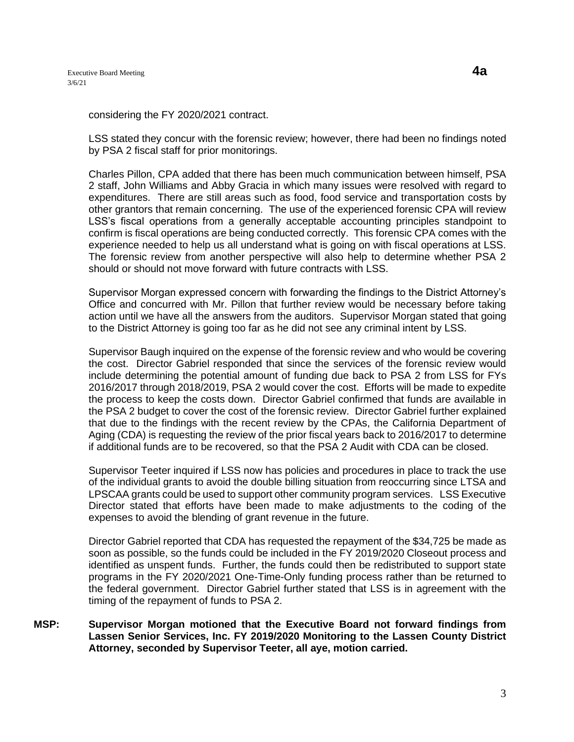considering the FY 2020/2021 contract.

LSS stated they concur with the forensic review; however, there had been no findings noted by PSA 2 fiscal staff for prior monitorings.

Charles Pillon, CPA added that there has been much communication between himself, PSA 2 staff, John Williams and Abby Gracia in which many issues were resolved with regard to expenditures. There are still areas such as food, food service and transportation costs by other grantors that remain concerning. The use of the experienced forensic CPA will review LSS's fiscal operations from a generally acceptable accounting principles standpoint to confirm is fiscal operations are being conducted correctly. This forensic CPA comes with the experience needed to help us all understand what is going on with fiscal operations at LSS. The forensic review from another perspective will also help to determine whether PSA 2 should or should not move forward with future contracts with LSS.

Supervisor Morgan expressed concern with forwarding the findings to the District Attorney's Office and concurred with Mr. Pillon that further review would be necessary before taking action until we have all the answers from the auditors. Supervisor Morgan stated that going to the District Attorney is going too far as he did not see any criminal intent by LSS.

Supervisor Baugh inquired on the expense of the forensic review and who would be covering the cost. Director Gabriel responded that since the services of the forensic review would include determining the potential amount of funding due back to PSA 2 from LSS for FYs 2016/2017 through 2018/2019, PSA 2 would cover the cost. Efforts will be made to expedite the process to keep the costs down. Director Gabriel confirmed that funds are available in the PSA 2 budget to cover the cost of the forensic review. Director Gabriel further explained that due to the findings with the recent review by the CPAs, the California Department of Aging (CDA) is requesting the review of the prior fiscal years back to 2016/2017 to determine if additional funds are to be recovered, so that the PSA 2 Audit with CDA can be closed.

Supervisor Teeter inquired if LSS now has policies and procedures in place to track the use of the individual grants to avoid the double billing situation from reoccurring since LTSA and LPSCAA grants could be used to support other community program services. LSS Executive Director stated that efforts have been made to make adjustments to the coding of the expenses to avoid the blending of grant revenue in the future.

Director Gabriel reported that CDA has requested the repayment of the \$34,725 be made as soon as possible, so the funds could be included in the FY 2019/2020 Closeout process and identified as unspent funds. Further, the funds could then be redistributed to support state programs in the FY 2020/2021 One-Time-Only funding process rather than be returned to the federal government. Director Gabriel further stated that LSS is in agreement with the timing of the repayment of funds to PSA 2.

#### **MSP: Supervisor Morgan motioned that the Executive Board not forward findings from Lassen Senior Services, Inc. FY 2019/2020 Monitoring to the Lassen County District Attorney, seconded by Supervisor Teeter, all aye, motion carried.**